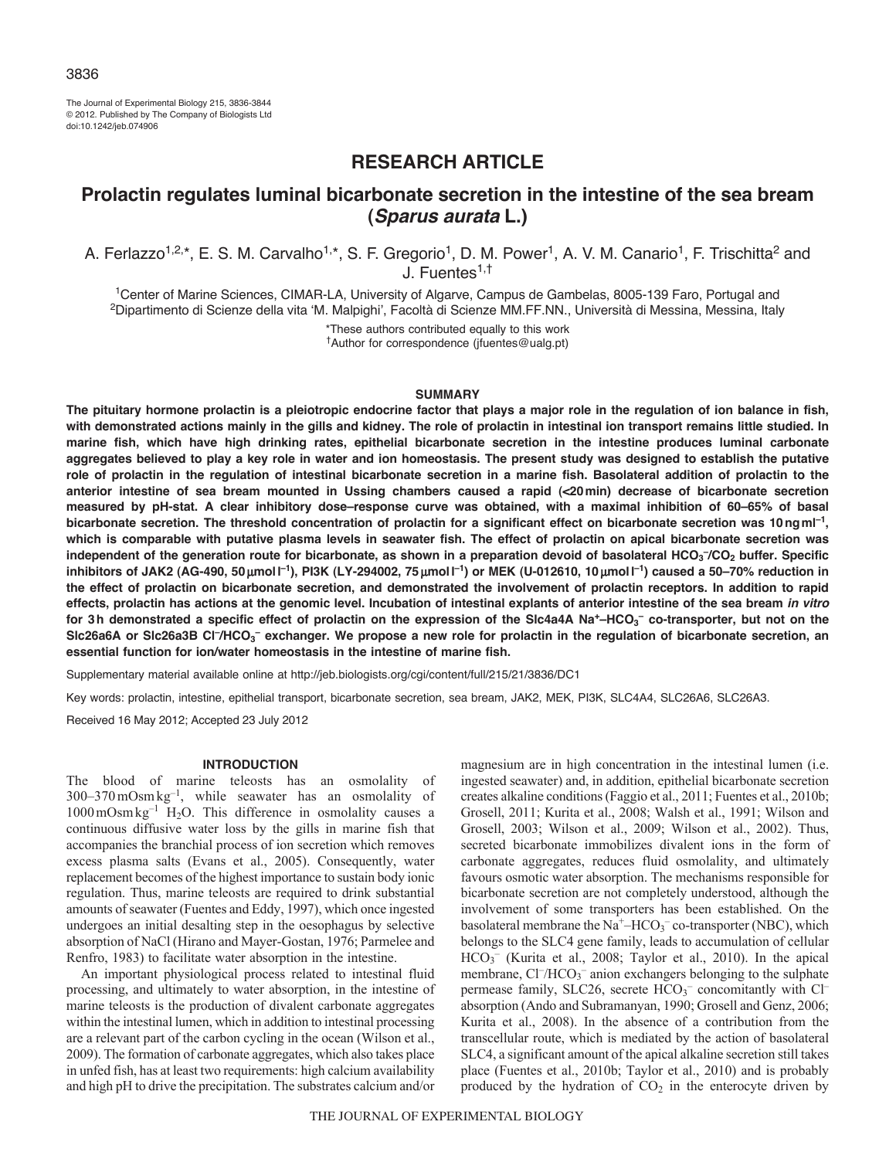The Journal of Experimental Biology 215, 3836-3844 © 2012. Published by The Company of Biologists Ltd doi:10.1242/jeb.074906

# **RESEARCH ARTICLE**

# **Prolactin regulates luminal bicarbonate secretion in the intestine of the sea bream (***Sparus aurata* **L.)**

A. Ferlazzo<sup>1,2,\*</sup>, E. S. M. Carvalho<sup>1,\*</sup>, S. F. Gregorio<sup>1</sup>, D. M. Power<sup>1</sup>, A. V. M. Canario<sup>1</sup>, F. Trischitta<sup>2</sup> and J. Fuentes<sup>1,†</sup>

1Center of Marine Sciences, CIMAR-LA, University of Algarve, Campus de Gambelas, 8005-139 Faro, Portugal and 2Dipartimento di Scienze della vita ʻM. Malpighi', Facoltà di Scienze MM.FF.NN., Università di Messina, Messina, Italy

> \*These authors contributed equally to this work †Author for correspondence (jfuentes@ualg.pt)

#### **SUMMARY**

**The pituitary hormone prolactin is a pleiotropic endocrine factor that plays a major role in the regulation of ion balance in fish, with demonstrated actions mainly in the gills and kidney. The role of prolactin in intestinal ion transport remains little studied. In marine fish, which have high drinking rates, epithelial bicarbonate secretion in the intestine produces luminal carbonate aggregates believed to play a key role in water and ion homeostasis. The present study was designed to establish the putative role of prolactin in the regulation of intestinal bicarbonate secretion in a marine fish. Basolateral addition of prolactin to the anterior intestine of sea bream mounted in Ussing chambers caused a rapid (<20min) decrease of bicarbonate secretion measured by pH-stat. A clear inhibitory dose–response curve was obtained, with a maximal inhibition of 60–65% of basal bicarbonate secretion. The threshold concentration of prolactin for a significant effect on bicarbonate secretion was 10ngml–1, which is comparable with putative plasma levels in seawater fish. The effect of prolactin on apical bicarbonate secretion was** independent of the generation route for bicarbonate, as shown in a preparation devoid of basolateral HCO<sub>3</sub><sup>-</sup>/CO<sub>2</sub> buffer. Specific **inhibitors of JAK2 (AG-490, 50** m**moll –1), PI3K (LY-294002, 75** m**moll –1) or MEK (U-012610, 10** m**moll –1) caused a 50–70% reduction in the effect of prolactin on bicarbonate secretion, and demonstrated the involvement of prolactin receptors. In addition to rapid effects, prolactin has actions at the genomic level. Incubation of intestinal explants of anterior intestine of the sea bream** *in vitro* **for 3h demonstrated a specific effect of prolactin on the expression of the Slc4a4A Na+–HCO3 – co-transporter, but not on the** Slc26a6A or Slc26a3B Cl<sup>-</sup>/HCO<sub>3</sub><sup>-</sup> exchanger. We propose a new role for prolactin in the regulation of bicarbonate secretion, an **essential function for ion/water homeostasis in the intestine of marine fish.**

Supplementary material available online at http://jeb.biologists.org/cgi/content/full/215/21/3836/DC1

Key words: prolactin, intestine, epithelial transport, bicarbonate secretion, sea bream, JAK2, MEK, PI3K, SLC4A4, SLC26A6, SLC26A3.

Received 16 May 2012; Accepted 23 July 2012

### **INTRODUCTION**

The blood of marine teleosts has an osmolality of 300–370mOsmkg–1, while seawater has an osmolality of  $1000 \text{ mOsm kg}^{-1}$  H<sub>2</sub>O. This difference in osmolality causes a continuous diffusive water loss by the gills in marine fish that accompanies the branchial process of ion secretion which removes excess plasma salts (Evans et al., 2005). Consequently, water replacement becomes of the highest importance to sustain body ionic regulation. Thus, marine teleosts are required to drink substantial amounts of seawater (Fuentes and Eddy, 1997), which once ingested undergoes an initial desalting step in the oesophagus by selective absorption of NaCl (Hirano and Mayer-Gostan, 1976; Parmelee and Renfro, 1983) to facilitate water absorption in the intestine.

An important physiological process related to intestinal fluid processing, and ultimately to water absorption, in the intestine of marine teleosts is the production of divalent carbonate aggregates within the intestinal lumen, which in addition to intestinal processing are a relevant part of the carbon cycling in the ocean (Wilson et al., 2009). The formation of carbonate aggregates, which also takes place in unfed fish, has at least two requirements: high calcium availability and high pH to drive the precipitation. The substrates calcium and/or

magnesium are in high concentration in the intestinal lumen (i.e. ingested seawater) and, in addition, epithelial bicarbonate secretion creates alkaline conditions (Faggio et al., 2011; Fuentes et al., 2010b; Grosell, 2011; Kurita et al., 2008; Walsh et al., 1991; Wilson and Grosell, 2003; Wilson et al., 2009; Wilson et al., 2002). Thus, secreted bicarbonate immobilizes divalent ions in the form of carbonate aggregates, reduces fluid osmolality, and ultimately favours osmotic water absorption. The mechanisms responsible for bicarbonate secretion are not completely understood, although the involvement of some transporters has been established. On the basolateral membrane the  $Na^+$ –HCO<sub>3</sub><sup>–</sup> co-transporter (NBC), which belongs to the SLC4 gene family, leads to accumulation of cellular HCO3 – (Kurita et al., 2008; Taylor et al., 2010). In the apical membrane, Cl<sup>-</sup>/HCO<sub>3</sub><sup>-</sup> anion exchangers belonging to the sulphate permease family, SLC26, secrete HCO<sub>3</sub><sup>-</sup> concomitantly with Cl<sup>-</sup> absorption (Ando and Subramanyan, 1990; Grosell and Genz, 2006; Kurita et al., 2008). In the absence of a contribution from the transcellular route, which is mediated by the action of basolateral SLC4, a significant amount of the apical alkaline secretion still takes place (Fuentes et al., 2010b; Taylor et al., 2010) and is probably produced by the hydration of  $CO<sub>2</sub>$  in the enterocyte driven by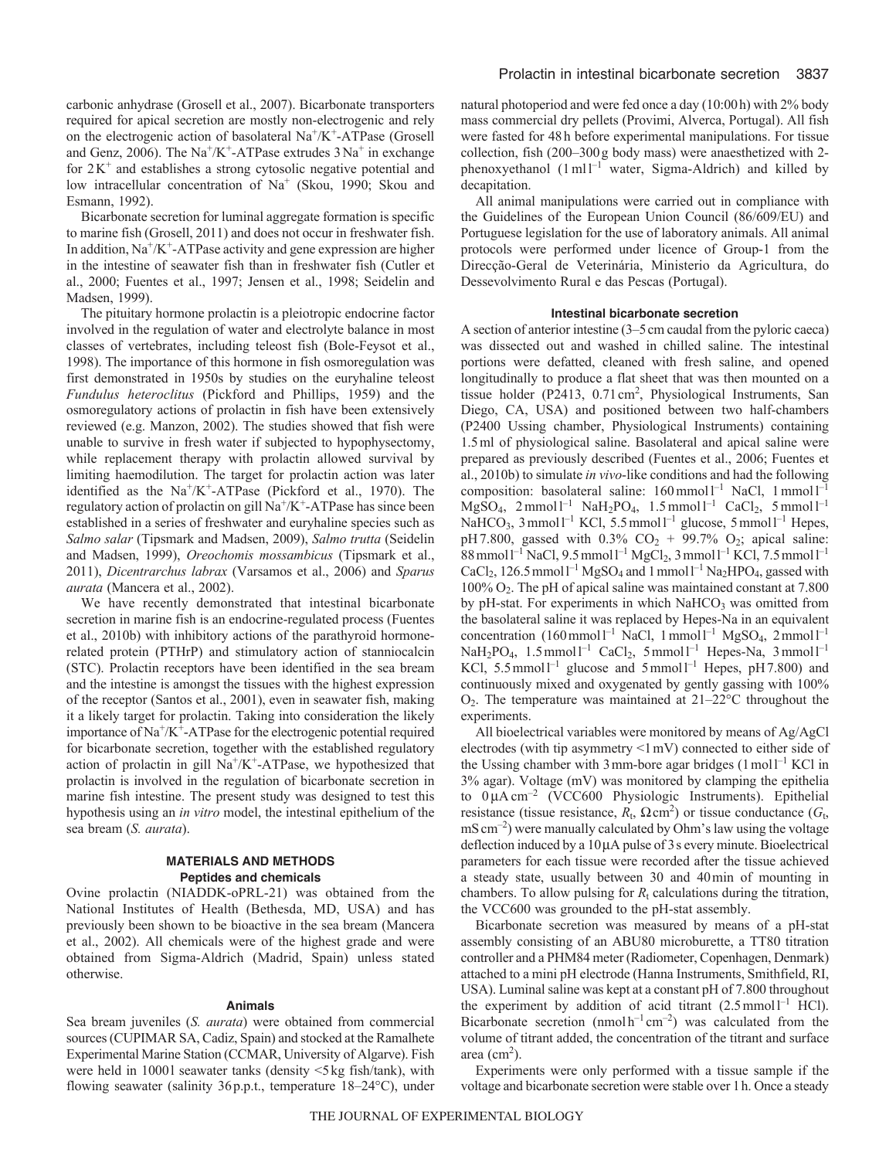carbonic anhydrase (Grosell et al., 2007). Bicarbonate transporters required for apical secretion are mostly non-electrogenic and rely on the electrogenic action of basolateral  $Na^+/K^+$ -ATPase (Grosell and Genz, 2006). The Na<sup>+</sup>/K<sup>+</sup>-ATPase extrudes  $3$ Na<sup>+</sup> in exchange for  $2K^+$  and establishes a strong cytosolic negative potential and low intracellular concentration of Na<sup>+</sup> (Skou, 1990; Skou and Esmann, 1992).

Bicarbonate secretion for luminal aggregate formation is specific to marine fish (Grosell, 2011) and does not occur in freshwater fish. In addition,  $Na^{+}/K^{+}$ -ATPase activity and gene expression are higher in the intestine of seawater fish than in freshwater fish (Cutler et al., 2000; Fuentes et al., 1997; Jensen et al., 1998; Seidelin and Madsen, 1999).

The pituitary hormone prolactin is a pleiotropic endocrine factor involved in the regulation of water and electrolyte balance in most classes of vertebrates, including teleost fish (Bole-Feysot et al., 1998). The importance of this hormone in fish osmoregulation was first demonstrated in 1950s by studies on the euryhaline teleost *Fundulus heteroclitus* (Pickford and Phillips, 1959) and the osmoregulatory actions of prolactin in fish have been extensively reviewed (e.g. Manzon, 2002). The studies showed that fish were unable to survive in fresh water if subjected to hypophysectomy, while replacement therapy with prolactin allowed survival by limiting haemodilution. The target for prolactin action was later identified as the  $Na^+/K^+$ -ATPase (Pickford et al., 1970). The regulatory action of prolactin on gill  $Na^+/K^+$ -ATPase has since been established in a series of freshwater and euryhaline species such as *Salmo salar* (Tipsmark and Madsen, 2009), *Salmo trutta* (Seidelin and Madsen, 1999), *Oreochomis mossambicus* (Tipsmark et al., 2011), *Dicentrarchus labrax* (Varsamos et al., 2006) and *Sparus aurata* (Mancera et al., 2002).

We have recently demonstrated that intestinal bicarbonate secretion in marine fish is an endocrine-regulated process (Fuentes et al., 2010b) with inhibitory actions of the parathyroid hormonerelated protein (PTHrP) and stimulatory action of stanniocalcin (STC). Prolactin receptors have been identified in the sea bream and the intestine is amongst the tissues with the highest expression of the receptor (Santos et al., 2001), even in seawater fish, making it a likely target for prolactin. Taking into consideration the likely importance of  $Na^+/K^+$ -ATPase for the electrogenic potential required for bicarbonate secretion, together with the established regulatory action of prolactin in gill  $Na^+/K^+$ -ATPase, we hypothesized that prolactin is involved in the regulation of bicarbonate secretion in marine fish intestine. The present study was designed to test this hypothesis using an *in vitro* model, the intestinal epithelium of the sea bream (*S. aurata*).

### **MATERIALS AND METHODS Peptides and chemicals**

Ovine prolactin (NIADDK-oPRL-21) was obtained from the National Institutes of Health (Bethesda, MD, USA) and has previously been shown to be bioactive in the sea bream (Mancera et al., 2002). All chemicals were of the highest grade and were obtained from Sigma-Aldrich (Madrid, Spain) unless stated otherwise.

#### **Animals**

Sea bream juveniles (*S. aurata*) were obtained from commercial sources (CUPIMAR SA, Cadiz, Spain) and stocked at the Ramalhete Experimental Marine Station (CCMAR, University of Algarve). Fish were held in 1000l seawater tanks (density <5kg fish/tank), with flowing seawater (salinity 36p.p.t., temperature 18–24°C), under natural photoperiod and were fed once a day (10:00h) with 2% body mass commercial dry pellets (Provimi, Alverca, Portugal). All fish were fasted for 48h before experimental manipulations. For tissue collection, fish (200–300g body mass) were anaesthetized with 2 phenoxyethanol  $(1 \text{ ml})^{-1}$  water, Sigma-Aldrich) and killed by decapitation.

All animal manipulations were carried out in compliance with the Guidelines of the European Union Council (86/609/EU) and Portuguese legislation for the use of laboratory animals. All animal protocols were performed under licence of Group-1 from the Direcção-Geral de Veterinária, Ministerio da Agricultura, do Dessevolvimento Rural e das Pescas (Portugal).

# **Intestinal bicarbonate secretion**

A section of anterior intestine (3–5cm caudal from the pyloric caeca) was dissected out and washed in chilled saline. The intestinal portions were defatted, cleaned with fresh saline, and opened longitudinally to produce a flat sheet that was then mounted on a tissue holder (P2413,  $0.71 \text{ cm}^2$ , Physiological Instruments, San Diego, CA, USA) and positioned between two half-chambers (P2400 Ussing chamber, Physiological Instruments) containing 1.5ml of physiological saline. Basolateral and apical saline were prepared as previously described (Fuentes et al., 2006; Fuentes et al., 2010b) to simulate *in vivo*-like conditions and had the following composition: basolateral saline:  $160 \text{ mmol } l^{-1}$  NaCl,  $1 \text{ mmol } l^{-1}$  $MgSO_4$ , 2 mmol l<sup>-1</sup> NaH<sub>2</sub>PO<sub>4</sub>, 1.5 mmol l<sup>-1</sup> CaCl<sub>2</sub>, 5 mmol l<sup>-1</sup> NaHCO<sub>3</sub>, 3 mmol<sup>1-1</sup> KCl, 5.5 mmol<sup>1-1</sup> glucose, 5 mmol<sup>1-1</sup> Hepes, pH7.800, gassed with  $0.3\%$  CO<sub>2</sub> + 99.7% O<sub>2</sub>; apical saline:  $88$  mmol  $1^{-1}$  NaCl, 9.5 mmol  $1^{-1}$  MgCl<sub>2</sub>, 3 mmol  $1^{-1}$  KCl, 7.5 mmol  $1^{-1}$ CaCl<sub>2</sub>, 126.5 mmol<sup>1-1</sup> MgSO<sub>4</sub> and 1 mmol<sup>1-1</sup> Na<sub>2</sub>HPO<sub>4</sub>, gassed with 100% O2. The pH of apical saline was maintained constant at 7.800 by pH-stat. For experiments in which  $NaHCO<sub>3</sub>$  was omitted from the basolateral saline it was replaced by Hepes-Na in an equivalent concentration  $(160 \text{mmol}^{-1} \text{ NaCl}, 1 \text{mmol}^{-1} \text{ MgSO}_4, 2 \text{mmol}^{-1})$  $NaH_2PO_4$ , 1.5 mmol  $l^{-1}$  CaCl<sub>2</sub>, 5 mmol  $l^{-1}$  Hepes-Na, 3 mmol  $l^{-1}$ KCl, 5.5 mmol<sup>1-1</sup> glucose and 5 mmol<sup>1-1</sup> Hepes, pH7.800) and continuously mixed and oxygenated by gently gassing with 100% O2. The temperature was maintained at 21–22°C throughout the experiments.

All bioelectrical variables were monitored by means of Ag/AgCl electrodes (with tip asymmetry <1mV) connected to either side of the Ussing chamber with  $3$  mm-bore agar bridges  $(1 \text{ mol})^{-1}$  KCl in 3% agar). Voltage (mV) was monitored by clamping the epithelia to  $0 \mu A \text{ cm}^{-2}$  (VCC600 Physiologic Instruments). Epithelial resistance (tissue resistance,  $R_t$ ,  $\Omega$  cm<sup>2</sup>) or tissue conductance ( $G_t$ ,  $\rm mS \, cm^{-2}$ ) were manually calculated by Ohm's law using the voltage deflection induced by a  $10\mu A$  pulse of 3s every minute. Bioelectrical parameters for each tissue were recorded after the tissue achieved a steady state, usually between 30 and 40min of mounting in chambers. To allow pulsing for  $R_t$  calculations during the titration, the VCC600 was grounded to the pH-stat assembly.

Bicarbonate secretion was measured by means of a pH-stat assembly consisting of an ABU80 microburette, a TT80 titration controller and a PHM84 meter (Radiometer, Copenhagen, Denmark) attached to a mini pH electrode (Hanna Instruments, Smithfield, RI, USA). Luminal saline was kept at a constant pH of 7.800 throughout the experiment by addition of acid titrant  $(2.5 \text{ mmol1}^{-1} \text{ HCl})$ . Bicarbonate secretion (nmol  $h^{-1}$  cm<sup>-2</sup>) was calculated from the volume of titrant added, the concentration of the titrant and surface area  $(cm<sup>2</sup>)$ .

Experiments were only performed with a tissue sample if the voltage and bicarbonate secretion were stable over 1h. Once a steady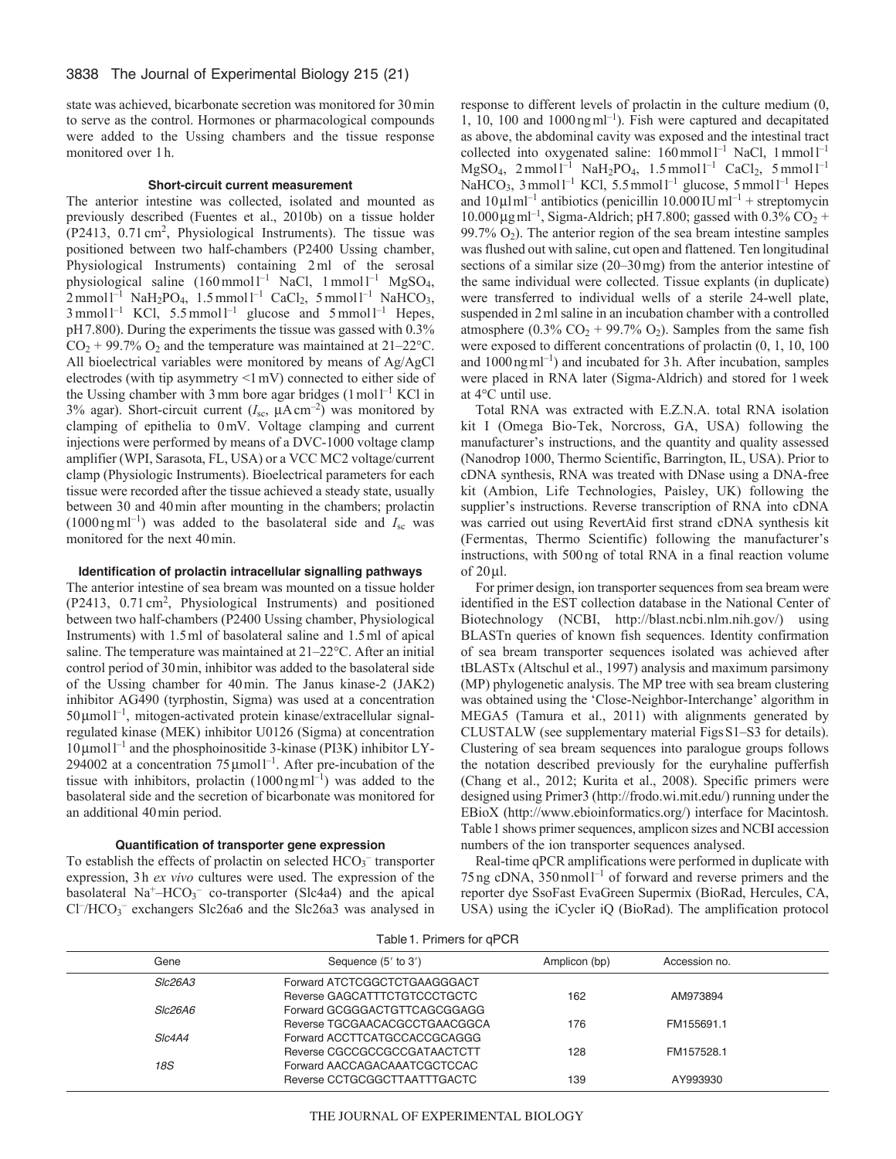state was achieved, bicarbonate secretion was monitored for 30min to serve as the control. Hormones or pharmacological compounds were added to the Ussing chambers and the tissue response monitored over 1h.

## **Short-circuit current measurement**

The anterior intestine was collected, isolated and mounted as previously described (Fuentes et al., 2010b) on a tissue holder (P2413, 0.71 cm<sup>2</sup>, Physiological Instruments). The tissue was positioned between two half-chambers (P2400 Ussing chamber, Physiological Instruments) containing 2ml of the serosal physiological saline (160 mmol l<sup>-1</sup> NaCl, 1 mmol l<sup>-1</sup> MgSO<sub>4</sub>,  $2 \text{ mmol } 1^{-1}$  NaH<sub>2</sub>PO<sub>4</sub>, 1.5 mmol  $1^{-1}$  CaCl<sub>2</sub>, 5 mmol  $1^{-1}$  NaHCO<sub>3</sub>,  $3 \text{ mmol } l^{-1}$  KCl,  $5.5 \text{ mmol } l^{-1}$  glucose and  $5 \text{ mmol } l^{-1}$  Hepes, pH7.800). During the experiments the tissue was gassed with 0.3%  $CO<sub>2</sub> + 99.7% O<sub>2</sub>$  and the temperature was maintained at 21–22°C. All bioelectrical variables were monitored by means of Ag/AgCl electrodes (with tip asymmetry <1mV) connected to either side of the Ussing chamber with  $3 \text{ mm}$  bore agar bridges  $(1 \text{ mol})^{-1}$  KCl in 3% agar). Short-circuit current  $(I_{sc}, \mu A \text{ cm}^{-2})$  was monitored by clamping of epithelia to 0mV. Voltage clamping and current injections were performed by means of a DVC-1000 voltage clamp amplifier (WPI, Sarasota, FL, USA) or a VCC MC2 voltage/current clamp (Physiologic Instruments). Bioelectrical parameters for each tissue were recorded after the tissue achieved a steady state, usually between 30 and 40min after mounting in the chambers; prolactin  $(1000 \text{ ng m}^{-1})$  was added to the basolateral side and  $I_{\text{sc}}$  was monitored for the next 40min.

### **Identification of prolactin intracellular signalling pathways**

The anterior intestine of sea bream was mounted on a tissue holder (P2413, 0.71 cm<sup>2</sup> , Physiological Instruments) and positioned between two half-chambers (P2400 Ussing chamber, Physiological Instruments) with 1.5ml of basolateral saline and 1.5ml of apical saline. The temperature was maintained at 21–22°C. After an initial control period of 30min, inhibitor was added to the basolateral side of the Ussing chamber for 40min. The Janus kinase-2 (JAK2) inhibitor AG490 (tyrphostin, Sigma) was used at a concentration 50 µmol  $l^{-1}$ , mitogen-activated protein kinase/extracellular signalregulated kinase (MEK) inhibitor U0126 (Sigma) at concentration  $10 \mu$ mol  $l^{-1}$  and the phosphoinositide 3-kinase (PI3K) inhibitor LY-294002 at a concentration  $75 \mu$ moll<sup>-1</sup>. After pre-incubation of the tissue with inhibitors, prolactin  $(1000 \text{ ng} \text{ ml}^{-1})$  was added to the basolateral side and the secretion of bicarbonate was monitored for an additional 40min period.

#### **Quantification of transporter gene expression**

To establish the effects of prolactin on selected  $HCO<sub>3</sub><sup>-</sup>$  transporter expression, 3h *ex vivo* cultures were used. The expression of the basolateral  $Na^+$ –HCO<sub>3</sub><sup>-</sup> co-transporter (Slc4a4) and the apical Cl<sup>-</sup>/HCO<sub>3</sub><sup>-</sup> exchangers Slc26a6 and the Slc26a3 was analysed in response to different levels of prolactin in the culture medium (0, 1, 10, 100 and  $1000 \text{ ng} \text{ ml}^{-1}$ ). Fish were captured and decapitated as above, the abdominal cavity was exposed and the intestinal tract collected into oxygenated saline:  $160 \text{ mmol}1^{-1}$  NaCl,  $1 \text{ mmol}1^{-1}$  $MgSO_4$ , 2 mmol l<sup>-1</sup> NaH<sub>2</sub>PO<sub>4</sub>, 1.5 mmol l<sup>-1</sup> CaCl<sub>2</sub>, 5 mmol l<sup>-1</sup> NaHCO<sub>3</sub>, 3 mmol<sup>1-1</sup> KCl, 5.5 mmol<sup>1-1</sup> glucose, 5 mmol<sup>1-1</sup> Hepes and  $10 \mu I \text{m}^{-1}$  antibiotics (penicillin  $10.000 \text{ IU} \text{m}^{-1}$  + streptomycin 10.000μg ml<sup>-1</sup>, Sigma-Aldrich; pH 7.800; gassed with  $0.\overline{3}\%$  CO<sub>2</sub> + 99.7%  $O_2$ ). The anterior region of the sea bream intestine samples was flushed out with saline, cut open and flattened. Ten longitudinal sections of a similar size (20–30 mg) from the anterior intestine of the same individual were collected. Tissue explants (in duplicate) were transferred to individual wells of a sterile 24-well plate, suspended in 2ml saline in an incubation chamber with a controlled atmosphere (0.3%  $CO<sub>2</sub> + 99.7% O<sub>2</sub>$ ). Samples from the same fish were exposed to different concentrations of prolactin (0, 1, 10, 100 and  $1000 \text{ ng m}^{-1}$ ) and incubated for 3 h. After incubation, samples were placed in RNA later (Sigma-Aldrich) and stored for 1week at 4°C until use.

Total RNA was extracted with E.Z.N.A. total RNA isolation kit I (Omega Bio-Tek, Norcross, GA, USA) following the manufacturer's instructions, and the quantity and quality assessed (Nanodrop 1000, Thermo Scientific, Barrington, IL, USA). Prior to cDNA synthesis, RNA was treated with DNase using a DNA-free kit (Ambion, Life Technologies, Paisley, UK) following the supplier's instructions. Reverse transcription of RNA into cDNA was carried out using RevertAid first strand cDNA synthesis kit (Fermentas, Thermo Scientific) following the manufacturer's instructions, with 500ng of total RNA in a final reaction volume of  $20$  µl.

For primer design, ion transporter sequences from sea bream were identified in the EST collection database in the National Center of Biotechnology (NCBI, http://blast.ncbi.nlm.nih.gov/) using BLASTn queries of known fish sequences. Identity confirmation of sea bream transporter sequences isolated was achieved after tBLASTx (Altschul et al., 1997) analysis and maximum parsimony (MP) phylogenetic analysis. The MP tree with sea bream clustering was obtained using the 'Close-Neighbor-Interchange' algorithm in MEGA5 (Tamura et al., 2011) with alignments generated by CLUSTALW (see supplementary material FigsS1–S3 for details). Clustering of sea bream sequences into paralogue groups follows the notation described previously for the euryhaline pufferfish (Chang et al., 2012; Kurita et al., 2008). Specific primers were designed using Primer3 (http://frodo.wi.mit.edu/) running under the EBioX (http://www.ebioinformatics.org/) interface for Macintosh. Table1 shows primer sequences, amplicon sizes and NCBI accession numbers of the ion transporter sequences analysed.

Real-time qPCR amplifications were performed in duplicate with 75 ng cDNA,  $350$  nmol<sup>1-1</sup> of forward and reverse primers and the reporter dye SsoFast EvaGreen Supermix (BioRad, Hercules, CA, USA) using the iCycler iQ (BioRad). The amplification protocol

Table1. Primers for qPCR

| Sequence (5' to 3')           | Amplicon (bp) | Accession no. |  |
|-------------------------------|---------------|---------------|--|
| Forward ATCTCGGCTCTGAAGGGACT  |               |               |  |
| Reverse GAGCATTTCTGTCCCTGCTC  | 162           | AM973894      |  |
| Forward GCGGGACTGTTCAGCGGAGG  |               |               |  |
| Reverse TGCGAACACGCCTGAACGGCA | 176           | FM155691.1    |  |
| Forward ACCTTCATGCCACCGCAGGG  |               |               |  |
| Reverse CGCCGCCGCCGATAACTCTT  | 128           | FM157528.1    |  |
| Forward AACCAGACAAATCGCTCCAC  |               |               |  |
| Reverse CCTGCGGCTTAATTTGACTC  | 139           | AY993930      |  |
|                               |               |               |  |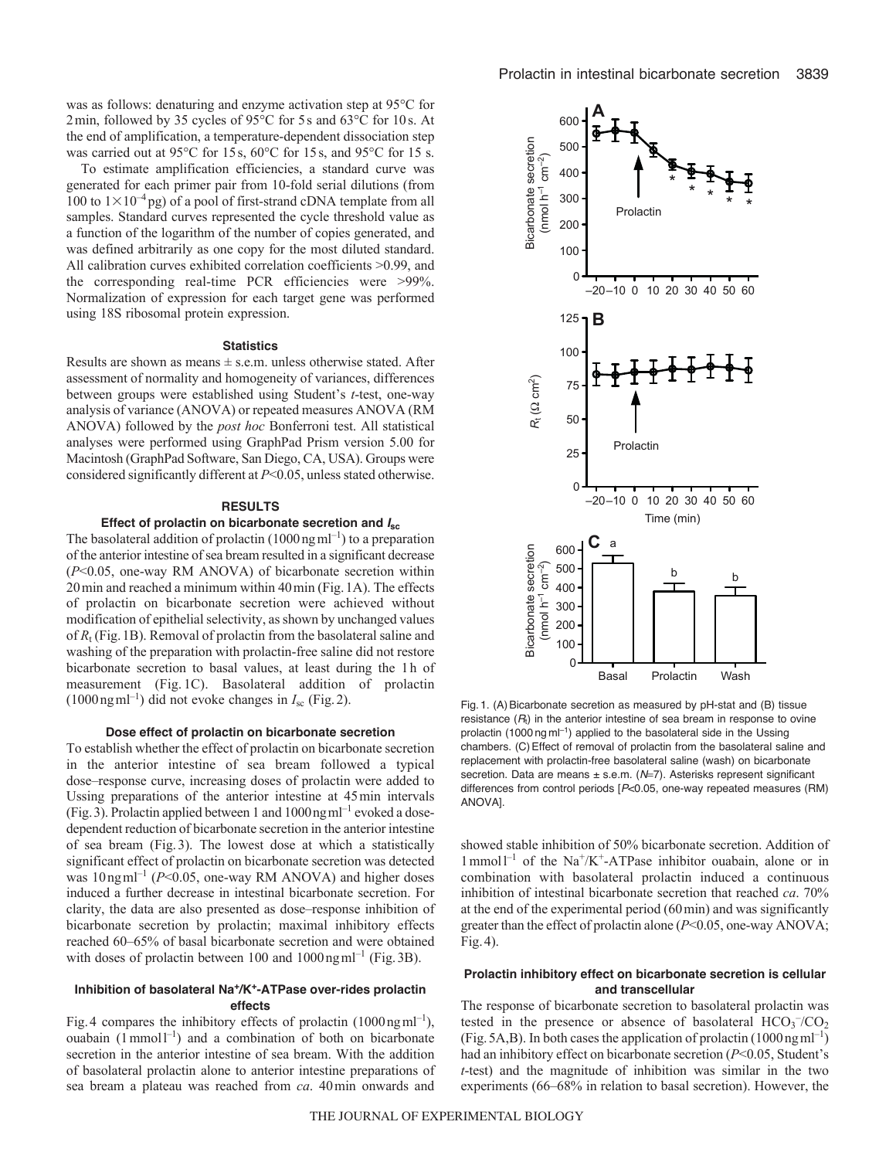was as follows: denaturing and enzyme activation step at 95°C for 2min, followed by 35 cycles of 95°C for 5s and 63°C for 10s. At the end of amplification, a temperature-dependent dissociation step was carried out at 95°C for 15s, 60°C for 15s, and 95°C for 15 s.

To estimate amplification efficiencies, a standard curve was generated for each primer pair from 10-fold serial dilutions (from 100 to  $1\times10^{-4}$  pg) of a pool of first-strand cDNA template from all samples. Standard curves represented the cycle threshold value as a function of the logarithm of the number of copies generated, and was defined arbitrarily as one copy for the most diluted standard. All calibration curves exhibited correlation coefficients >0.99, and the corresponding real-time PCR efficiencies were >99%. Normalization of expression for each target gene was performed using 18S ribosomal protein expression.

#### **Statistics**

Results are shown as means  $\pm$  s.e.m. unless otherwise stated. After assessment of normality and homogeneity of variances, differences between groups were established using Student's *t*-test, one-way analysis of variance (ANOVA) or repeated measures ANOVA (RM ANOVA) followed by the *post hoc* Bonferroni test. All statistical analyses were performed using GraphPad Prism version 5.00 for Macintosh (GraphPad Software, San Diego, CA, USA). Groups were considered significantly different at *P*<0.05, unless stated otherwise.

#### **RESULTS**

### **Effect of prolactin on bicarbonate secretion and** *I***sc**

The basolateral addition of prolactin  $(1000 \text{ ng } \text{m} \text{m}^{-1})$  to a preparation of the anterior intestine of sea bream resulted in a significant decrease (*P*<0.05, one-way RM ANOVA) of bicarbonate secretion within 20min and reached a minimum within 40min (Fig.1A). The effects of prolactin on bicarbonate secretion were achieved without modification of epithelial selectivity, as shown by unchanged values of  $R_t$  (Fig. 1B). Removal of prolactin from the basolateral saline and washing of the preparation with prolactin-free saline did not restore bicarbonate secretion to basal values, at least during the 1h of measurement (Fig. 1C). Basolateral addition of prolactin  $(1000 \text{ ng ml}^{-1})$  did not evoke changes in  $I_{\rm sc}$  (Fig. 2).

#### **Dose effect of prolactin on bicarbonate secretion**

To establish whether the effect of prolactin on bicarbonate secretion in the anterior intestine of sea bream followed a typical dose–response curve, increasing doses of prolactin were added to Ussing preparations of the anterior intestine at 45min intervals (Fig. 3). Prolactin applied between 1 and  $1000$  ng m $l^{-1}$  evoked a dosedependent reduction of bicarbonate secretion in the anterior intestine of sea bream (Fig.3). The lowest dose at which a statistically significant effect of prolactin on bicarbonate secretion was detected was  $10 \text{ ng m}^{-1}$  ( $P \le 0.05$ , one-way RM ANOVA) and higher doses induced a further decrease in intestinal bicarbonate secretion. For clarity, the data are also presented as dose–response inhibition of bicarbonate secretion by prolactin; maximal inhibitory effects reached 60–65% of basal bicarbonate secretion and were obtained with doses of prolactin between  $100$  and  $1000$ ngml<sup>-1</sup> (Fig. 3B).

# **Inhibition of basolateral Na+/K+-ATPase over-rides prolactin effects**

Fig. 4 compares the inhibitory effects of prolactin  $(1000 \text{ ng} \text{ ml}^{-1})$ , ouabain  $(1 \text{ mmol } 1^{-1})$  and a combination of both on bicarbonate secretion in the anterior intestine of sea bream. With the addition of basolateral prolactin alone to anterior intestine preparations of sea bream a plateau was reached from *ca*. 40min onwards and



Fig. 1. (A) Bicarbonate secretion as measured by pH-stat and (B) tissue resistance  $(R<sub>t</sub>)$  in the anterior intestine of sea bream in response to ovine prolactin (1000 ng  $ml^{-1}$ ) applied to the basolateral side in the Ussing chambers. (C)Effect of removal of prolactin from the basolateral saline and replacement with prolactin-free basolateral saline (wash) on bicarbonate secretion. Data are means ± s.e.m. (N=7). Asterisks represent significant differences from control periods [*P*<0.05, one-way repeated measures (RM) ANOVA].

showed stable inhibition of 50% bicarbonate secretion. Addition of  $1$  mmol<sup> $-1$ </sup> of the Na<sup>+</sup>/K<sup>+</sup>-ATPase inhibitor ouabain, alone or in combination with basolateral prolactin induced a continuous inhibition of intestinal bicarbonate secretion that reached *ca*. 70% at the end of the experimental period (60min) and was significantly greater than the effect of prolactin alone (*P*<0.05, one-way ANOVA; Fig.4).

# **Prolactin inhibitory effect on bicarbonate secretion is cellular and transcellular**

The response of bicarbonate secretion to basolateral prolactin was tested in the presence or absence of basolateral  $HCO<sub>3</sub><sup>-</sup>/CO<sub>2</sub>$ (Fig. 5A,B). In both cases the application of prolactin  $(1000 \text{ ng m}^{-1})$ had an inhibitory effect on bicarbonate secretion (*P*<0.05, Student's *t*-test) and the magnitude of inhibition was similar in the two experiments (66–68% in relation to basal secretion). However, the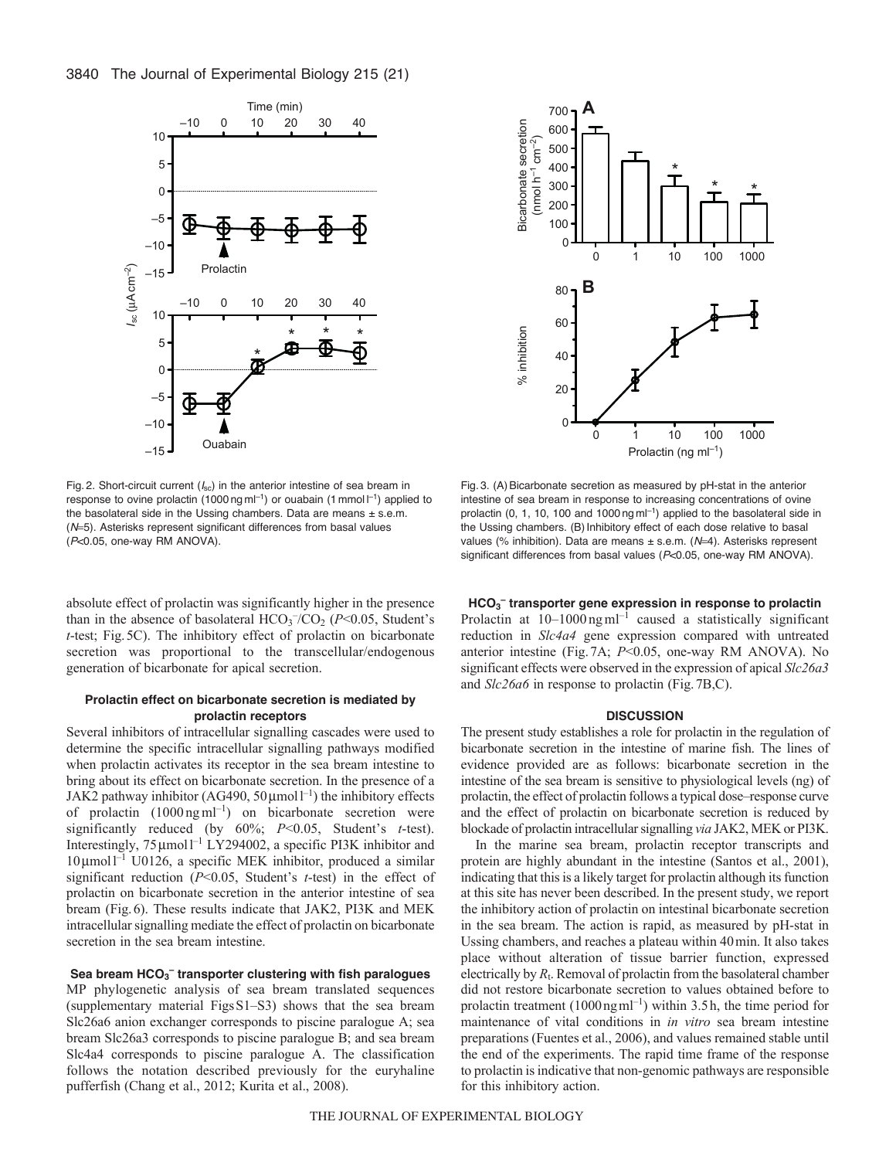

Fig. 2. Short-circuit current (*I<sub>sc</sub>*) in the anterior intestine of sea bream in response to ovine prolactin (1000 ng m $|^{-1}$ ) or ouabain (1 mmol  $|^{-1}$ ) applied to the basolateral side in the Ussing chambers. Data are means  $\pm$  s.e.m. (N=5). Asterisks represent significant differences from basal values (*P*<0.05, one-way RM ANOVA).

absolute effect of prolactin was significantly higher in the presence than in the absence of basolateral  $HCO<sub>3</sub><sup>-</sup>/CO<sub>2</sub>$  ( $P<0.05$ , Student's *t*-test; Fig.5C). The inhibitory effect of prolactin on bicarbonate secretion was proportional to the transcellular/endogenous generation of bicarbonate for apical secretion.

# **Prolactin effect on bicarbonate secretion is mediated by prolactin receptors**

Several inhibitors of intracellular signalling cascades were used to determine the specific intracellular signalling pathways modified when prolactin activates its receptor in the sea bream intestine to bring about its effect on bicarbonate secretion. In the presence of a JAK2 pathway inhibitor (AG490,  $50 \mu$ moll<sup>-1</sup>) the inhibitory effects of prolactin (1000 ng ml<sup>-1</sup>) on bicarbonate secretion were significantly reduced (by 60%; *P*<0.05, Student's *t*-test). Interestingly,  $75 \mu$ moll<sup>-1</sup> LY294002, a specific PI3K inhibitor and  $10 \mu$ mol $1^{-1}$  U0126, a specific MEK inhibitor, produced a similar significant reduction (*P*<0.05, Student's *t*-test) in the effect of prolactin on bicarbonate secretion in the anterior intestine of sea bream (Fig.6). These results indicate that JAK2, PI3K and MEK intracellular signalling mediate the effect of prolactin on bicarbonate secretion in the sea bream intestine.

# **Sea bream HCO3 – transporter clustering with fish paralogues**

MP phylogenetic analysis of sea bream translated sequences (supplementary material FigsS1–S3) shows that the sea bream Slc26a6 anion exchanger corresponds to piscine paralogue A; sea bream Slc26a3 corresponds to piscine paralogue B; and sea bream Slc4a4 corresponds to piscine paralogue A. The classification follows the notation described previously for the euryhaline pufferfish (Chang et al., 2012; Kurita et al., 2008).



Fig. 3. (A)Bicarbonate secretion as measured by pH-stat in the anterior intestine of sea bream in response to increasing concentrations of ovine prolactin (0, 1, 10, 100 and 1000 ng  $ml^{-1}$ ) applied to the basolateral side in the Ussing chambers. (B) Inhibitory effect of each dose relative to basal values (% inhibition). Data are means ± s.e.m. (N=4). Asterisks represent significant differences from basal values (*P*<0.05, one-way RM ANOVA).

**HCO3 – transporter gene expression in response to prolactin** Prolactin at  $10-1000$  ng ml<sup>-1</sup> caused a statistically significant reduction in *Slc4a4* gene expression compared with untreated anterior intestine (Fig.7A; *P*<0.05, one-way RM ANOVA). No significant effects were observed in the expression of apical *Slc26a3* and *Slc26a6* in response to prolactin (Fig.7B,C).

#### **DISCUSSION**

The present study establishes a role for prolactin in the regulation of bicarbonate secretion in the intestine of marine fish. The lines of evidence provided are as follows: bicarbonate secretion in the intestine of the sea bream is sensitive to physiological levels (ng) of prolactin, the effect of prolactin follows a typical dose–response curve and the effect of prolactin on bicarbonate secretion is reduced by blockade of prolactin intracellular signalling *via* JAK2, MEK or PI3K.

In the marine sea bream, prolactin receptor transcripts and protein are highly abundant in the intestine (Santos et al., 2001), indicating that this is a likely target for prolactin although its function at this site has never been described. In the present study, we report the inhibitory action of prolactin on intestinal bicarbonate secretion in the sea bream. The action is rapid, as measured by pH-stat in Ussing chambers, and reaches a plateau within 40min. It also takes place without alteration of tissue barrier function, expressed electrically by *R*t. Removal of prolactin from the basolateral chamber did not restore bicarbonate secretion to values obtained before to prolactin treatment  $(1000 \text{ ng} \text{ ml}^{-1})$  within 3.5 h, the time period for maintenance of vital conditions in *in vitro* sea bream intestine preparations (Fuentes et al., 2006), and values remained stable until the end of the experiments. The rapid time frame of the response to prolactin is indicative that non-genomic pathways are responsible for this inhibitory action.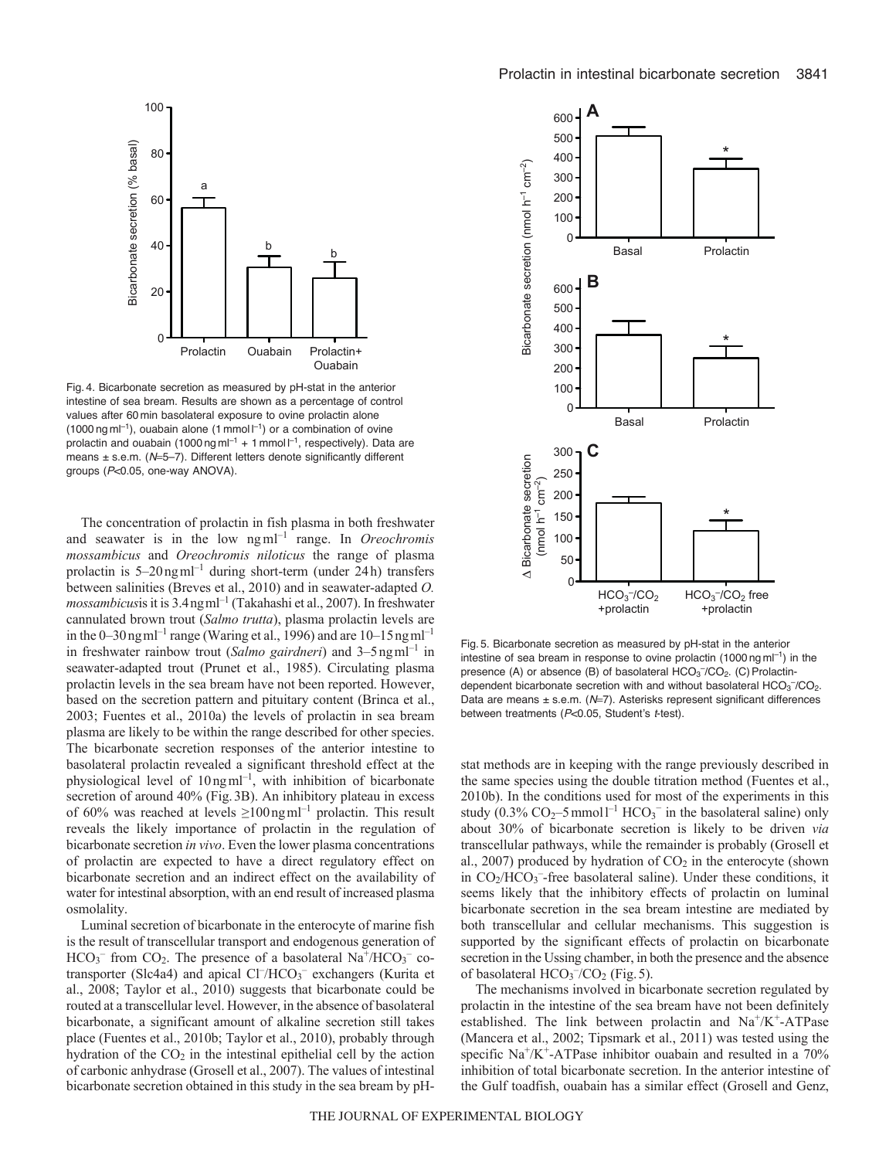

Fig. 4. Bicarbonate secretion as measured by pH-stat in the anterior intestine of sea bream. Results are shown as a percentage of control values after 60 min basolateral exposure to ovine prolactin alone  $(1000 \text{ ng m}^{-1})$ , ouabain alone  $(1 \text{ mmol}^{-1})$  or a combination of ovine prolactin and ouabain (1000 ng m $I^{-1}$  + 1 mmol  $I^{-1}$ , respectively). Data are means ± s.e.m. (N=5-7). Different letters denote significantly different groups (*P*<0.05, one-way ANOVA).

The concentration of prolactin in fish plasma in both freshwater and seawater is in the low ngml–1 range. In *Oreochromis mossambicus* and *Oreochromis niloticus* the range of plasma prolactin is  $5-20$ ng ml<sup>-1</sup> during short-term (under 24h) transfers between salinities (Breves et al., 2010) and in seawater-adapted *O. mossambicus*is it is 3.4ngml–1 (Takahashi et al., 2007). In freshwater cannulated brown trout (*Salmo trutta*), plasma prolactin levels are in the  $0-30$  ng m $l^{-1}$  range (Waring et al., 1996) and are 10–15 ng m $l^{-1}$ in freshwater rainbow trout (*Salmo gairdneri*) and 3–5ngml<sup>-1</sup> in seawater-adapted trout (Prunet et al., 1985). Circulating plasma prolactin levels in the sea bream have not been reported. However, based on the secretion pattern and pituitary content (Brinca et al., 2003; Fuentes et al., 2010a) the levels of prolactin in sea bream plasma are likely to be within the range described for other species. The bicarbonate secretion responses of the anterior intestine to basolateral prolactin revealed a significant threshold effect at the physiological level of  $10$ ngml<sup>-1</sup>, with inhibition of bicarbonate secretion of around 40% (Fig.3B). An inhibitory plateau in excess of 60% was reached at levels  $\geq 100$  ng ml<sup>-1</sup> prolactin. This result reveals the likely importance of prolactin in the regulation of bicarbonate secretion *in vivo*. Even the lower plasma concentrations of prolactin are expected to have a direct regulatory effect on bicarbonate secretion and an indirect effect on the availability of water for intestinal absorption, with an end result of increased plasma osmolality.

Luminal secretion of bicarbonate in the enterocyte of marine fish is the result of transcellular transport and endogenous generation of  $HCO<sub>3</sub>$ <sup>-</sup> from CO<sub>2</sub>. The presence of a basolateral Na<sup>+</sup>/HCO<sub>3</sub><sup>-</sup> cotransporter (Slc4a4) and apical Cl<sup>-</sup>/HCO<sub>3</sub><sup>-</sup> exchangers (Kurita et al., 2008; Taylor et al., 2010) suggests that bicarbonate could be routed at a transcellular level. However, in the absence of basolateral bicarbonate, a significant amount of alkaline secretion still takes place (Fuentes et al., 2010b; Taylor et al., 2010), probably through hydration of the  $CO<sub>2</sub>$  in the intestinal epithelial cell by the action of carbonic anhydrase (Grosell et al., 2007). The values of intestinal bicarbonate secretion obtained in this study in the sea bream by pH-



Fig. 5. Bicarbonate secretion as measured by pH-stat in the anterior intestine of sea bream in response to ovine prolactin (1000 ng m $|^{-1}$ ) in the presence (A) or absence (B) of basolateral  $HCO<sub>3</sub><sup>-</sup>/CO<sub>2</sub>$ . (C) Prolactindependent bicarbonate secretion with and without basolateral  $HCO<sub>3</sub><sup>-</sup>/CO<sub>2</sub>$ . Data are means ± s.e.m. (N=7). Asterisks represent significant differences between treatments (*P*<0.05, Student's *t*-test).

stat methods are in keeping with the range previously described in the same species using the double titration method (Fuentes et al., 2010b). In the conditions used for most of the experiments in this study (0.3%  $CO_2$ -5 mmol<sup>1-1</sup> HCO<sub>3</sub><sup>-</sup> in the basolateral saline) only about 30% of bicarbonate secretion is likely to be driven *via* transcellular pathways, while the remainder is probably (Grosell et al., 2007) produced by hydration of  $CO<sub>2</sub>$  in the enterocyte (shown in CO<sub>2</sub>/HCO<sub>3</sub><sup>-</sup>-free basolateral saline). Under these conditions, it seems likely that the inhibitory effects of prolactin on luminal bicarbonate secretion in the sea bream intestine are mediated by both transcellular and cellular mechanisms. This suggestion is supported by the significant effects of prolactin on bicarbonate secretion in the Ussing chamber, in both the presence and the absence of basolateral  $HCO<sub>3</sub><sup>-</sup>/CO<sub>2</sub>$  (Fig. 5).

The mechanisms involved in bicarbonate secretion regulated by prolactin in the intestine of the sea bream have not been definitely established. The link between prolactin and  $Na^+/K^+$ -ATPase (Mancera et al., 2002; Tipsmark et al., 2011) was tested using the specific  $Na^+/K^+$ -ATPase inhibitor ouabain and resulted in a 70% inhibition of total bicarbonate secretion. In the anterior intestine of the Gulf toadfish, ouabain has a similar effect (Grosell and Genz,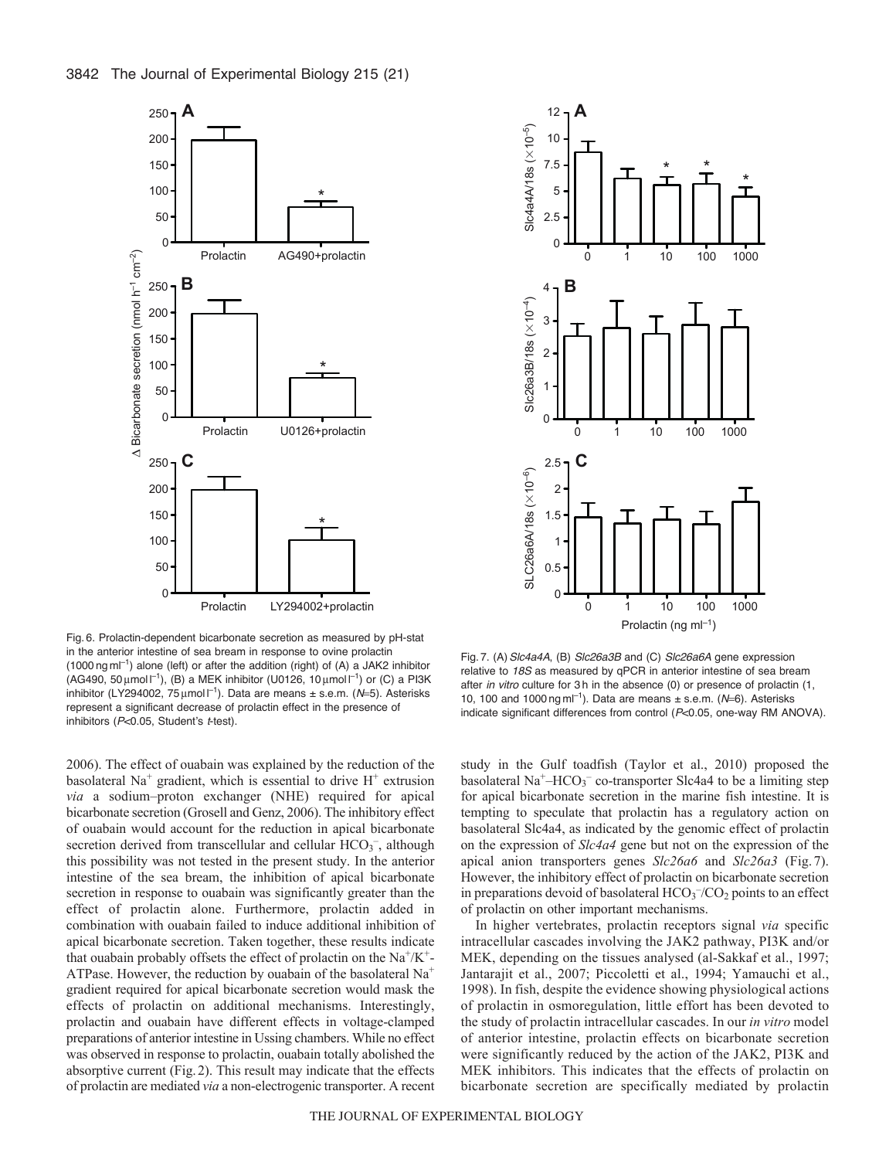

Fig. 6. Prolactin-dependent bicarbonate secretion as measured by pH-stat in the anterior intestine of sea bream in response to ovine prolactin  $(1000 \text{ ng m}^{-1})$  alone (left) or after the addition (right) of (A) a JAK2 inhibitor  $(AG490, 50 \mu mol l^{-1})$ ,  $(B)$  a MEK inhibitor (U0126, 10  $\mu$ mol  $l^{-1}$ ) or (C) a PI3K inhibitor (LY294002, 75 µmol l<sup>-1</sup>). Data are means ± s.e.m. (N=5). Asterisks represent a significant decrease of prolactin effect in the presence of inhibitors (*P*<0.05, Student's *t*-test).

2006). The effect of ouabain was explained by the reduction of the basolateral Na<sup>+</sup> gradient, which is essential to drive  $H^+$  extrusion *via* a sodium–proton exchanger (NHE) required for apical bicarbonate secretion (Grosell and Genz, 2006). The inhibitory effect of ouabain would account for the reduction in apical bicarbonate secretion derived from transcellular and cellular HCO<sub>3</sub><sup>-</sup>, although this possibility was not tested in the present study. In the anterior intestine of the sea bream, the inhibition of apical bicarbonate secretion in response to ouabain was significantly greater than the effect of prolactin alone. Furthermore, prolactin added in combination with ouabain failed to induce additional inhibition of apical bicarbonate secretion. Taken together, these results indicate that ouabain probably offsets the effect of prolactin on the  $Na^+/K^+$ -ATPase. However, the reduction by ouabain of the basolateral Na+ gradient required for apical bicarbonate secretion would mask the effects of prolactin on additional mechanisms. Interestingly, prolactin and ouabain have different effects in voltage-clamped preparations of anterior intestine in Ussing chambers. While no effect was observed in response to prolactin, ouabain totally abolished the absorptive current (Fig.2). This result may indicate that the effects of prolactin are mediated *via* a non-electrogenic transporter. A recent



Fig. 7. (A)*Slc4a4A*, (B) *Slc26a3B* and (C) *Slc26a6A* gene expression relative to *18S* as measured by qPCR in anterior intestine of sea bream after *in vitro* culture for 3 h in the absence (0) or presence of prolactin (1, 10, 100 and 1000 ng m $|^{-1}$ ). Data are means  $\pm$  s.e.m. ( $N=6$ ). Asterisks indicate significant differences from control (*P*<0.05, one-way RM ANOVA).

study in the Gulf toadfish (Taylor et al., 2010) proposed the basolateral Na<sup>+</sup>-HCO<sub>3</sub><sup>-</sup> co-transporter Slc4a4 to be a limiting step for apical bicarbonate secretion in the marine fish intestine. It is tempting to speculate that prolactin has a regulatory action on basolateral Slc4a4, as indicated by the genomic effect of prolactin on the expression of *Slc4a4* gene but not on the expression of the apical anion transporters genes *Slc26a6* and *Slc26a3* (Fig. 7). However, the inhibitory effect of prolactin on bicarbonate secretion in preparations devoid of basolateral  $HCO<sub>3</sub><sup>-</sup>/CO<sub>2</sub>$  points to an effect of prolactin on other important mechanisms.

In higher vertebrates, prolactin receptors signal *via* specific intracellular cascades involving the JAK2 pathway, PI3K and/or MEK, depending on the tissues analysed (al-Sakkaf et al., 1997; Jantarajit et al., 2007; Piccoletti et al., 1994; Yamauchi et al., 1998). In fish, despite the evidence showing physiological actions of prolactin in osmoregulation, little effort has been devoted to the study of prolactin intracellular cascades. In our *in vitro* model of anterior intestine, prolactin effects on bicarbonate secretion were significantly reduced by the action of the JAK2, PI3K and MEK inhibitors. This indicates that the effects of prolactin on bicarbonate secretion are specifically mediated by prolactin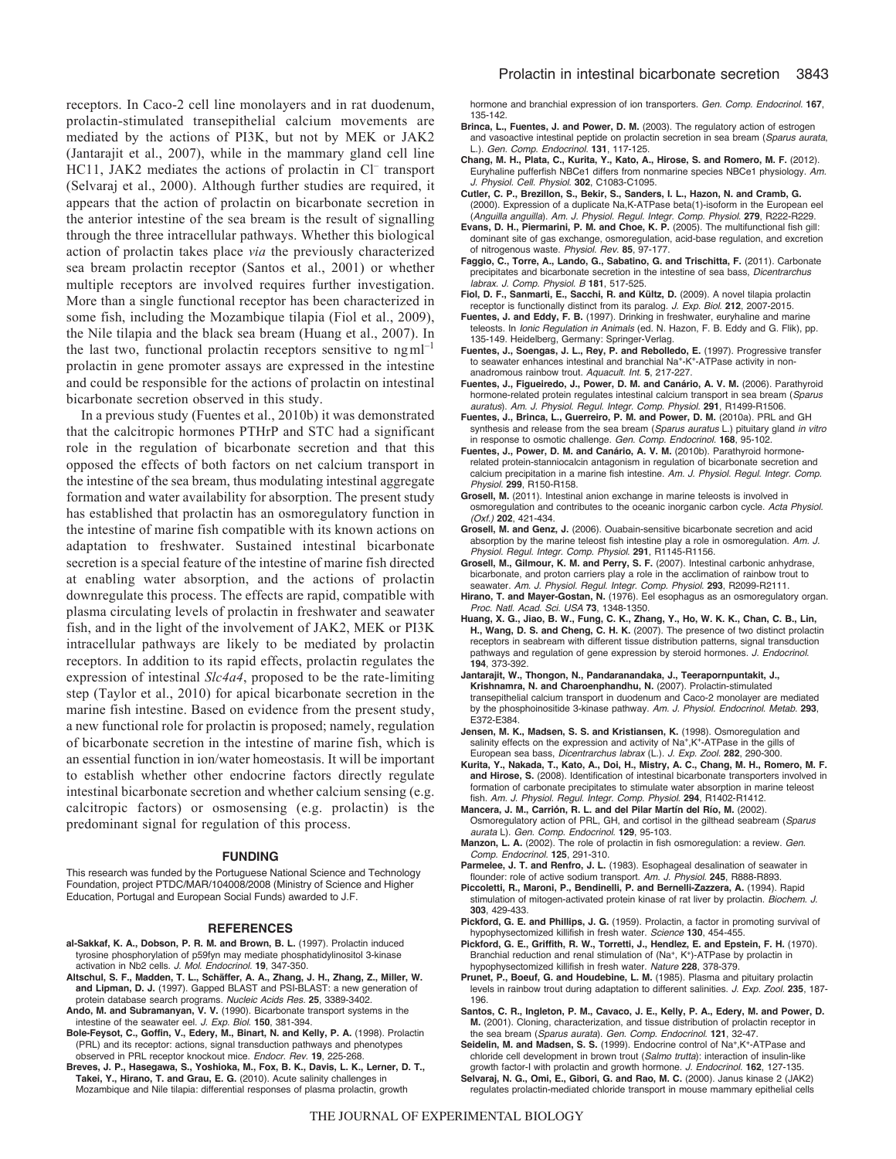receptors. In Caco-2 cell line monolayers and in rat duodenum, prolactin-stimulated transepithelial calcium movements are mediated by the actions of PI3K, but not by MEK or JAK2 (Jantarajit et al., 2007), while in the mammary gland cell line HC11, JAK2 mediates the actions of prolactin in Cl<sup>-</sup> transport (Selvaraj et al., 2000). Although further studies are required, it appears that the action of prolactin on bicarbonate secretion in the anterior intestine of the sea bream is the result of signalling through the three intracellular pathways. Whether this biological action of prolactin takes place *via* the previously characterized sea bream prolactin receptor (Santos et al., 2001) or whether multiple receptors are involved requires further investigation. More than a single functional receptor has been characterized in some fish, including the Mozambique tilapia (Fiol et al., 2009), the Nile tilapia and the black sea bream (Huang et al., 2007). In the last two, functional prolactin receptors sensitive to  $ngm^{-1}$ prolactin in gene promoter assays are expressed in the intestine and could be responsible for the actions of prolactin on intestinal bicarbonate secretion observed in this study.

In a previous study (Fuentes et al., 2010b) it was demonstrated that the calcitropic hormones PTHrP and STC had a significant role in the regulation of bicarbonate secretion and that this opposed the effects of both factors on net calcium transport in the intestine of the sea bream, thus modulating intestinal aggregate formation and water availability for absorption. The present study has established that prolactin has an osmoregulatory function in the intestine of marine fish compatible with its known actions on adaptation to freshwater. Sustained intestinal bicarbonate secretion is a special feature of the intestine of marine fish directed at enabling water absorption, and the actions of prolactin downregulate this process. The effects are rapid, compatible with plasma circulating levels of prolactin in freshwater and seawater fish, and in the light of the involvement of JAK2, MEK or PI3K intracellular pathways are likely to be mediated by prolactin receptors. In addition to its rapid effects, prolactin regulates the expression of intestinal *Slc4a4*, proposed to be the rate-limiting step (Taylor et al., 2010) for apical bicarbonate secretion in the marine fish intestine. Based on evidence from the present study, a new functional role for prolactin is proposed; namely, regulation of bicarbonate secretion in the intestine of marine fish, which is an essential function in ion/water homeostasis. It will be important to establish whether other endocrine factors directly regulate intestinal bicarbonate secretion and whether calcium sensing (e.g. calcitropic factors) or osmosensing (e.g. prolactin) is the predominant signal for regulation of this process.

#### **FUNDING**

This research was funded by the Portuguese National Science and Technology Foundation, project PTDC/MAR/104008/2008 (Ministry of Science and Higher Education, Portugal and European Social Funds) awarded to J.F.

#### **REFERENCES**

- **al-Sakkaf, K. A., Dobson, P. R. M. and Brown, B. L.** (1997). Prolactin induced tyrosine phosphorylation of p59fyn may mediate phosphatidylinositol 3-kinase activation in Nb2 cells. *J. Mol. Endocrinol.* **19**, 347-350.
- **Altschul, S. F., Madden, T. L., Schäffer, A. A., Zhang, J. H., Zhang, Z., Miller, W. and Lipman, D. J.** (1997). Gapped BLAST and PSI-BLAST: a new generation of protein database search programs. *Nucleic Acids Res.* **25**, 3389-3402.
- **Ando, M. and Subramanyan, V. V.** (1990). Bicarbonate transport systems in the intestine of the seawater eel. *J. Exp. Biol.* **150**, 381-394.
- **Bole-Feysot, C., Goffin, V., Edery, M., Binart, N. and Kelly, P. A.** (1998). Prolactin (PRL) and its receptor: actions, signal transduction pathways and phenotypes observed in PRL receptor knockout mice. *Endocr. Rev.* **19**, 225-268.
- **Breves, J. P., Hasegawa, S., Yoshioka, M., Fox, B. K., Davis, L. K., Lerner, D. T., Takei, Y., Hirano, T. and Grau, E. G.** (2010). Acute salinity challenges in Mozambique and Nile tilapia: differential responses of plasma prolactin, growth

hormone and branchial expression of ion transporters. *Gen. Comp. Endocrinol.* **167**, 135-142.

- **Brinca, L., Fuentes, J. and Power, D. M.** (2003). The regulatory action of estrogen and vasoactive intestinal peptide on prolactin secretion in sea bream (*Sparus aurata*, L.). *Gen. Comp. Endocrinol.* **131**, 117-125.
- **Chang, M. H., Plata, C., Kurita, Y., Kato, A., Hirose, S. and Romero, M. F.** (2012). Euryhaline pufferfish NBCe1 differs from nonmarine species NBCe1 physiology. *Am. J. Physiol. Cell. Physiol.* **302**, C1083-C1095.
- **Cutler, C. P., Brezillon, S., Bekir, S., Sanders, I. L., Hazon, N. and Cramb, G.** (2000). Expression of a duplicate Na,K-ATPase beta(1)-isoform in the European eel (*Anguilla anguilla*). *Am. J. Physiol. Regul. Integr. Comp. Physiol.* **279**, R222-R229.
- **Evans, D. H., Piermarini, P. M. and Choe, K. P.** (2005). The multifunctional fish gill: dominant site of gas exchange, osmoregulation, acid-base regulation, and excretion of nitrogenous waste. *Physiol. Rev.* **85**, 97-177.
- **Faggio, C., Torre, A., Lando, G., Sabatino, G. and Trischitta, F.** (2011). Carbonate precipitates and bicarbonate secretion in the intestine of sea bass, *Dicentrarchus labrax. J. Comp. Physiol. B* **181**, 517-525.
- **Fiol, D. F., Sanmarti, E., Sacchi, R. and Kültz, D.** (2009). A novel tilapia prolactin receptor is functionally distinct from its paralog. *J. Exp. Biol.* **212**, 2007-2015.
- **Fuentes, J. and Eddy, F. B.** (1997). Drinking in freshwater, euryhaline and marine teleosts. In *Ionic Regulation in Animals* (ed. N. Hazon, F. B. Eddy and G. Flik), pp. 135-149. Heidelberg, Germany: Springer-Verlag.
- **Fuentes, J., Soengas, J. L., Rey, P. and Rebolledo, E.** (1997). Progressive transfer to seawater enhances intestinal and branchial Na<sup>+</sup>-K<sup>+</sup>-ATPase activity in nonanadromous rainbow trout. *Aquacult. Int.* **5**, 217-227.
- **Fuentes, J., Figueiredo, J., Power, D. M. and Canário, A. V. M.** (2006). Parathyroid hormone-related protein regulates intestinal calcium transport in sea bream (*Sparus auratus*). *Am. J. Physiol. Regul. Integr. Comp. Physiol.* **291**, R1499-R1506.
- **Fuentes, J., Brinca, L., Guerreiro, P. M. and Power, D. M.** (2010a). PRL and GH synthesis and release from the sea bream (*Sparus auratus* L.) pituitary gland *in vitro* in response to osmotic challenge. *Gen. Comp. Endocrinol.* **168**, 95-102.
- **Fuentes, J., Power, D. M. and Canário, A. V. M.** (2010b). Parathyroid hormonerelated protein-stanniocalcin antagonism in regulation of bicarbonate secretion and calcium precipitation in a marine fish intestine. *Am. J. Physiol. Regul. Integr. Comp. Physiol.* **299**, R150-R158.
- **Grosell, M.** (2011). Intestinal anion exchange in marine teleosts is involved in osmoregulation and contributes to the oceanic inorganic carbon cycle. *Acta Physiol. (Oxf.)* **202**, 421-434.
- **Grosell, M. and Genz, J.** (2006). Ouabain-sensitive bicarbonate secretion and acid absorption by the marine teleost fish intestine play a role in osmoregulation. *Am. J. Physiol. Regul. Integr. Comp. Physiol.* **291**, R1145-R1156.
- **Grosell, M., Gilmour, K. M. and Perry, S. F.** (2007). Intestinal carbonic anhydrase, bicarbonate, and proton carriers play a role in the acclimation of rainbow trout to seawater. *Am. J. Physiol. Regul. Integr. Comp. Physiol.* **293**, R2099-R2111.
- **Hirano, T. and Mayer-Gostan, N.** (1976). Eel esophagus as an osmoregulatory organ. *Proc. Natl. Acad. Sci. USA* **73**, 1348-1350.
- **Huang, X. G., Jiao, B. W., Fung, C. K., Zhang, Y., Ho, W. K. K., Chan, C. B., Lin, H., Wang, D. S. and Cheng, C. H. K.** (2007). The presence of two distinct prolactin receptors in seabream with different tissue distribution patterns, signal transduction pathways and regulation of gene expression by steroid hormones. *J. Endocrinol.* **194**, 373-392.
- **Jantarajit, W., Thongon, N., Pandaranandaka, J., Teerapornpuntakit, J., Krishnamra, N. and Charoenphandhu, N.** (2007). Prolactin-stimulated transepithelial calcium transport in duodenum and Caco-2 monolayer are mediated by the phosphoinositide 3-kinase pathway. *Am. J. Physiol. Endocrinol. Metab.* **293**, E372-E384.
- **Jensen, M. K., Madsen, S. S. and Kristiansen, K.** (1998). Osmoregulation and salinity effects on the expression and activity of Na<sup>+</sup>,K<sup>+</sup>-ATPase in the gills of European sea bass, *Dicentrarchus labrax* (L.)*. J. Exp. Zool.* **282**, 290-300.
- **Kurita, Y., Nakada, T., Kato, A., Doi, H., Mistry, A. C., Chang, M. H., Romero, M. F. and Hirose, S.** (2008). Identification of intestinal bicarbonate transporters involved in formation of carbonate precipitates to stimulate water absorption in marine teleost fish. *Am. J. Physiol. Regul. Integr. Comp. Physiol.* **294**, R1402-R1412.
- **Mancera, J. M., Carrión, R. L. and del Pilar Martín del Río, M.** (2002). Osmoregulatory action of PRL, GH, and cortisol in the gilthead seabream (*Sparus aurata* L). *Gen. Comp. Endocrinol.* **129**, 95-103.
- **Manzon, L. A.** (2002). The role of prolactin in fish osmoregulation: a review. *Gen. Comp. Endocrinol.* **125**, 291-310.
- **Parmelee, J. T. and Renfro, J. L.** (1983). Esophageal desalination of seawater in flounder: role of active sodium transport. *Am. J. Physiol.* **245**, R888-R893.
- **Piccoletti, R., Maroni, P., Bendinelli, P. and Bernelli-Zazzera, A.** (1994). Rapid stimulation of mitogen-activated protein kinase of rat liver by prolactin. *Biochem. J.* **303**, 429-433.
- **Pickford, G. E. and Phillips, J. G.** (1959). Prolactin, a factor in promoting survival of hypophysectomized killifish in fresh water. *Science* **130**, 454-455.
- **Pickford, G. E., Griffith, R. W., Torretti, J., Hendlez, E. and Epstein, F. H.** (1970). Branchial reduction and renal stimulation of (Na<sup>+</sup>, K<sup>+</sup>)-ATPase by prolactin in hypophysectomized killifish in fresh water. *Nature* **228**, 378-379.
- **Prunet, P., Boeuf, G. and Houdebine, L. M.** (1985). Plasma and pituitary prolactin levels in rainbow trout during adaptation to different salinities. *J. Exp. Zool.* **235**, 187- 196.
- **Santos, C. R., Ingleton, P. M., Cavaco, J. E., Kelly, P. A., Edery, M. and Power, D. M.** (2001). Cloning, characterization, and tissue distribution of prolactin receptor in the sea bream (*Sparus aurata*). *Gen. Comp. Endocrinol.* **121**, 32-47.
- Seidelin, M. and Madsen, S. S. (1999). Endocrine control of Na<sup>+</sup>,K<sup>+</sup>-ATPase and chloride cell development in brown trout (*Salmo trutta*): interaction of insulin-like growth factor-I with prolactin and growth hormone. *J. Endocrinol.* **162**, 127-135.
- **Selvaraj, N. G., Omi, E., Gibori, G. and Rao, M. C.** (2000). Janus kinase 2 (JAK2) regulates prolactin-mediated chloride transport in mouse mammary epithelial cells